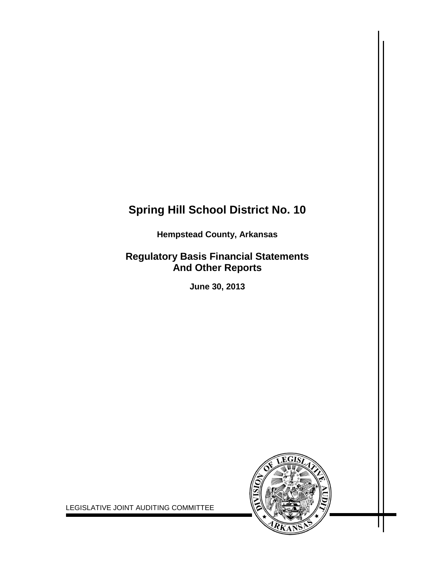# **Spring Hill School District No. 10**

**Hempstead County, Arkansas**

## **Regulatory Basis Financial Statements And Other Reports**

**June 30, 2013**



LEGISLATIVE JOINT AUDITING COMMITTEE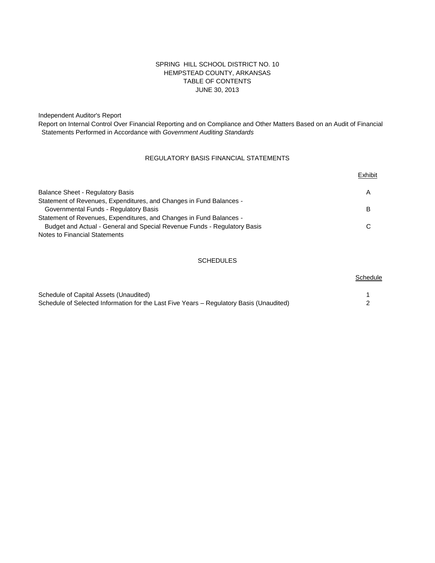## SPRING HILL SCHOOL DISTRICT NO. 10 HEMPSTEAD COUNTY, ARKANSAS TABLE OF CONTENTS JUNE 30, 2013

Independent Auditor's Report

Report on Internal Control Over Financial Reporting and on Compliance and Other Matters Based on an Audit of Financial Statements Performed in Accordance with *Government Auditing Standards*

## REGULATORY BASIS FINANCIAL STATEMENTS

|                                                                          | Exhibit |
|--------------------------------------------------------------------------|---------|
| Balance Sheet - Regulatory Basis                                         | A       |
| Statement of Revenues, Expenditures, and Changes in Fund Balances -      |         |
| Governmental Funds - Regulatory Basis                                    | B       |
| Statement of Revenues, Expenditures, and Changes in Fund Balances -      |         |
| Budget and Actual - General and Special Revenue Funds - Regulatory Basis |         |
| Notes to Financial Statements                                            |         |

#### **SCHEDULES**

**Schedule** 

## Schedule of Capital Assets (Unaudited) 1 Schedule of Selected Information for the Last Five Years – Regulatory Basis (Unaudited) 2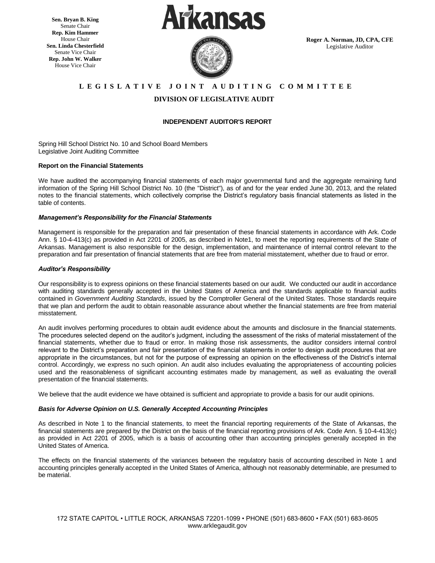**Sen. Bryan B. King** Senate Chair **Rep. Kim Hammer** House Chair **Sen. Linda Chesterfield** Senate Vice Chair **Rep. John W. Walker** House Vice Chair





**Roger A. Norman, JD, CPA, CFE** Legislative Auditor

## **L E G I S L A T I V E J O I N T A U D I T I N G C O M M I T T E E**

## **DIVISION OF LEGISLATIVE AUDIT**

#### **INDEPENDENT AUDITOR'S REPORT**

Spring Hill School District No. 10 and School Board Members Legislative Joint Auditing Committee

#### **Report on the Financial Statements**

We have audited the accompanying financial statements of each major governmental fund and the aggregate remaining fund information of the Spring Hill School District No. 10 (the "District"), as of and for the year ended June 30, 2013, and the related notes to the financial statements, which collectively comprise the District's regulatory basis financial statements as listed in the table of contents.

#### *Management's Responsibility for the Financial Statements*

Management is responsible for the preparation and fair presentation of these financial statements in accordance with Ark. Code Ann. § 10-4-413(c) as provided in Act 2201 of 2005, as described in Note1, to meet the reporting requirements of the State of Arkansas. Management is also responsible for the design, implementation, and maintenance of internal control relevant to the preparation and fair presentation of financial statements that are free from material misstatement, whether due to fraud or error.

#### *Auditor's Responsibility*

Our responsibility is to express opinions on these financial statements based on our audit. We conducted our audit in accordance with auditing standards generally accepted in the United States of America and the standards applicable to financial audits contained in *Government Auditing Standards*, issued by the Comptroller General of the United States. Those standards require that we plan and perform the audit to obtain reasonable assurance about whether the financial statements are free from material misstatement.

An audit involves performing procedures to obtain audit evidence about the amounts and disclosure in the financial statements. The procedures selected depend on the auditor's judgment, including the assessment of the risks of material misstatement of the financial statements, whether due to fraud or error. In making those risk assessments, the auditor considers internal control relevant to the District's preparation and fair presentation of the financial statements in order to design audit procedures that are appropriate in the circumstances, but not for the purpose of expressing an opinion on the effectiveness of the District's internal control. Accordingly, we express no such opinion. An audit also includes evaluating the appropriateness of accounting policies used and the reasonableness of significant accounting estimates made by management, as well as evaluating the overall presentation of the financial statements.

We believe that the audit evidence we have obtained is sufficient and appropriate to provide a basis for our audit opinions.

#### *Basis for Adverse Opinion on U.S. Generally Accepted Accounting Principles*

As described in Note 1 to the financial statements, to meet the financial reporting requirements of the State of Arkansas, the financial statements are prepared by the District on the basis of the financial reporting provisions of Ark. Code Ann. § 10-4-413(c) as provided in Act 2201 of 2005, which is a basis of accounting other than accounting principles generally accepted in the United States of America.

The effects on the financial statements of the variances between the regulatory basis of accounting described in Note 1 and accounting principles generally accepted in the United States of America, although not reasonably determinable, are presumed to be material.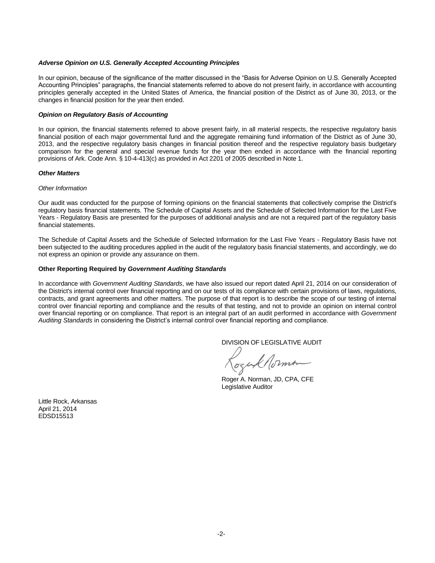#### *Adverse Opinion on U.S. Generally Accepted Accounting Principles*

In our opinion, because of the significance of the matter discussed in the "Basis for Adverse Opinion on U.S. Generally Accepted Accounting Principles" paragraphs, the financial statements referred to above do not present fairly, in accordance with accounting principles generally accepted in the United States of America, the financial position of the District as of June 30, 2013, or the changes in financial position for the year then ended.

#### *Opinion on Regulatory Basis of Accounting*

In our opinion, the financial statements referred to above present fairly, in all material respects, the respective regulatory basis financial position of each major governmental fund and the aggregate remaining fund information of the District as of June 30, 2013, and the respective regulatory basis changes in financial position thereof and the respective regulatory basis budgetary comparison for the general and special revenue funds for the year then ended in accordance with the financial reporting provisions of Ark. Code Ann. § 10-4-413(c) as provided in Act 2201 of 2005 described in Note 1.

#### *Other Matters*

#### *Other Information*

Our audit was conducted for the purpose of forming opinions on the financial statements that collectively comprise the District's regulatory basis financial statements. The Schedule of Capital Assets and the Schedule of Selected Information for the Last Five Years - Regulatory Basis are presented for the purposes of additional analysis and are not a required part of the regulatory basis financial statements.

The Schedule of Capital Assets and the Schedule of Selected Information for the Last Five Years - Regulatory Basis have not been subjected to the auditing procedures applied in the audit of the regulatory basis financial statements, and accordingly, we do not express an opinion or provide any assurance on them.

#### **Other Reporting Required by** *Government Auditing Standards*

In accordance with *Government Auditing Standards*, we have also issued our report dated April 21, 2014 on our consideration of the District's internal control over financial reporting and on our tests of its compliance with certain provisions of laws, regulations, contracts, and grant agreements and other matters. The purpose of that report is to describe the scope of our testing of internal control over financial reporting and compliance and the results of that testing, and not to provide an opinion on internal control over financial reporting or on compliance. That report is an integral part of an audit performed in accordance with *Government Auditing Standards* in considering the District's internal control over financial reporting and compliance.

DIVISION OF LEGISLATIVE AUDIT

ozuk Norma

Roger A. Norman, JD, CPA, CFE Legislative Auditor

Little Rock, Arkansas April 21, 2014 EDSD15513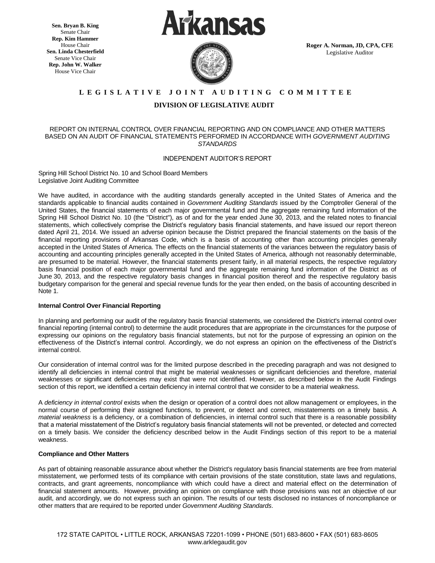**Sen. Bryan B. King** Senate Chair **Rep. Kim Hammer** House Chair **Sen. Linda Chesterfield** Senate Vice Chair **Rep. John W. Walker** House Vice Chair





**Roger A. Norman, JD, CPA, CFE** Legislative Auditor

## **L E G I S L A T I V E J O I N T A U D I T I N G C O M M I T T E E**

### **DIVISION OF LEGISLATIVE AUDIT**

#### REPORT ON INTERNAL CONTROL OVER FINANCIAL REPORTING AND ON COMPLIANCE AND OTHER MATTERS BASED ON AN AUDIT OF FINANCIAL STATEMENTS PERFORMED IN ACCORDANCE WITH *GOVERNMENT AUDITING STANDARDS*

#### INDEPENDENT AUDITOR'S REPORT

Spring Hill School District No. 10 and School Board Members Legislative Joint Auditing Committee

We have audited, in accordance with the auditing standards generally accepted in the United States of America and the standards applicable to financial audits contained in *Government Auditing Standards* issued by the Comptroller General of the United States, the financial statements of each major governmental fund and the aggregate remaining fund information of the Spring Hill School District No. 10 (the "District"), as of and for the year ended June 30, 2013, and the related notes to financial statements, which collectively comprise the District's regulatory basis financial statements, and have issued our report thereon dated April 21, 2014. We issued an adverse opinion because the District prepared the financial statements on the basis of the financial reporting provisions of Arkansas Code, which is a basis of accounting other than accounting principles generally accepted in the United States of America. The effects on the financial statements of the variances between the regulatory basis of accounting and accounting principles generally accepted in the United States of America, although not reasonably determinable, are presumed to be material. However, the financial statements present fairly, in all material respects, the respective regulatory basis financial position of each major governmental fund and the aggregate remaining fund information of the District as of June 30, 2013, and the respective regulatory basis changes in financial position thereof and the respective regulatory basis budgetary comparison for the general and special revenue funds for the year then ended, on the basis of accounting described in Note 1.

#### **Internal Control Over Financial Reporting**

In planning and performing our audit of the regulatory basis financial statements, we considered the District's internal control over financial reporting (internal control) to determine the audit procedures that are appropriate in the circumstances for the purpose of expressing our opinions on the regulatory basis financial statements, but not for the purpose of expressing an opinion on the effectiveness of the District's internal control. Accordingly, we do not express an opinion on the effectiveness of the District's internal control.

Our consideration of internal control was for the limited purpose described in the preceding paragraph and was not designed to identify all deficiencies in internal control that might be material weaknesses or significant deficiencies and therefore, material weaknesses or significant deficiencies may exist that were not identified. However, as described below in the Audit Findings section of this report, we identified a certain deficiency in internal control that we consider to be a material weakness.

A *deficiency in internal control* exists when the design or operation of a control does not allow management or employees, in the normal course of performing their assigned functions, to prevent, or detect and correct, misstatements on a timely basis. A *material weakness* is a deficiency, or a combination of deficiencies, in internal control such that there is a reasonable possibility that a material misstatement of the District's regulatory basis financial statements will not be prevented, or detected and corrected on a timely basis. We consider the deficiency described below in the Audit Findings section of this report to be a material weakness.

#### **Compliance and Other Matters**

As part of obtaining reasonable assurance about whether the District's regulatory basis financial statements are free from material misstatement, we performed tests of its compliance with certain provisions of the state constitution, state laws and regulations, contracts, and grant agreements, noncompliance with which could have a direct and material effect on the determination of financial statement amounts. However, providing an opinion on compliance with those provisions was not an objective of our audit, and accordingly, we do not express such an opinion. The results of our tests disclosed no instances of noncompliance or other matters that are required to be reported under *Government Auditing Standards*.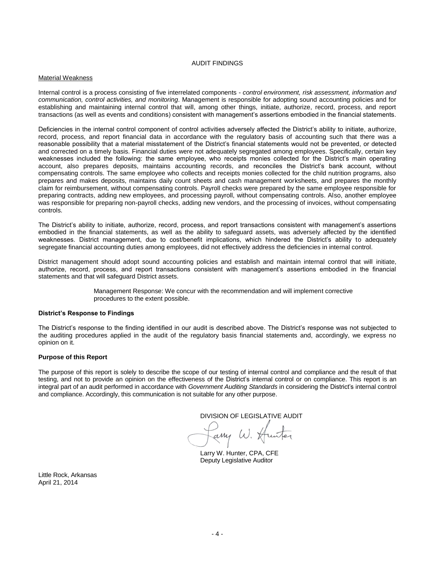#### AUDIT FINDINGS

#### Material Weakness

Internal control is a process consisting of five interrelated components - *control environment, risk assessment, information and communication, control activities, and monitoring*. Management is responsible for adopting sound accounting policies and for establishing and maintaining internal control that will, among other things, initiate, authorize, record, process, and report transactions (as well as events and conditions) consistent with management's assertions embodied in the financial statements.

Deficiencies in the internal control component of control activities adversely affected the District's ability to initiate, authorize, record, process, and report financial data in accordance with the regulatory basis of accounting such that there was a reasonable possibility that a material misstatement of the District's financial statements would not be prevented, or detected and corrected on a timely basis. Financial duties were not adequately segregated among employees. Specifically, certain key weaknesses included the following: the same employee, who receipts monies collected for the District's main operating account, also prepares deposits, maintains accounting records, and reconciles the District's bank account, without compensating controls. The same employee who collects and receipts monies collected for the child nutrition programs, also prepares and makes deposits, maintains daily count sheets and cash management worksheets, and prepares the monthly claim for reimbursement, without compensating controls. Payroll checks were prepared by the same employee responsible for preparing contracts, adding new employees, and processing payroll, without compensating controls. Also, another employee was responsible for preparing non-payroll checks, adding new vendors, and the processing of invoices, without compensating controls.

The District's ability to initiate, authorize, record, process, and report transactions consistent with management's assertions embodied in the financial statements, as well as the ability to safeguard assets, was adversely affected by the identified weaknesses. District management, due to cost/benefit implications, which hindered the District's ability to adequately segregate financial accounting duties among employees, did not effectively address the deficiencies in internal control.

District management should adopt sound accounting policies and establish and maintain internal control that will initiate, authorize, record, process, and report transactions consistent with management's assertions embodied in the financial statements and that will safeguard District assets.

> Management Response: We concur with the recommendation and will implement corrective procedures to the extent possible.

#### **District's Response to Findings**

The District's response to the finding identified in our audit is described above. The District's response was not subjected to the auditing procedures applied in the audit of the regulatory basis financial statements and, accordingly, we express no opinion on it.

#### **Purpose of this Report**

The purpose of this report is solely to describe the scope of our testing of internal control and compliance and the result of that testing, and not to provide an opinion on the effectiveness of the District's internal control or on compliance. This report is an integral part of an audit performed in accordance with *Government Auditing Standards* in considering the District's internal control and compliance. Accordingly, this communication is not suitable for any other purpose.

DIVISION OF LEGISLATIVE AUDIT

Fany W. Hunter

Larry W. Hunter, CPA, CFE Deputy Legislative Auditor

Little Rock, Arkansas April 21, 2014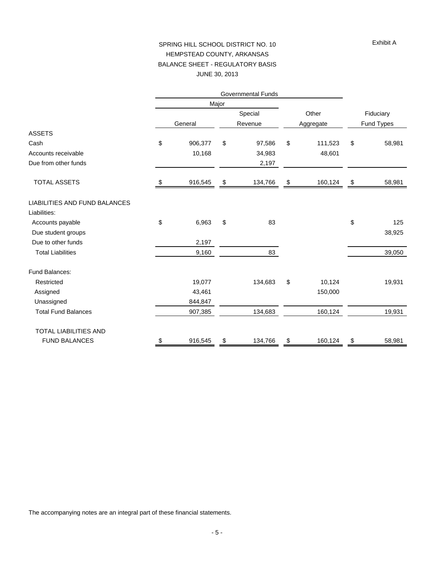#### Exhibit A

## SPRING HILL SCHOOL DISTRICT NO. 10 HEMPSTEAD COUNTY, ARKANSAS BALANCE SHEET - REGULATORY BASIS JUNE 30, 2013

|                               |    |         | Major |         |           |         |                         |        |
|-------------------------------|----|---------|-------|---------|-----------|---------|-------------------------|--------|
|                               |    |         |       | Special |           | Other   | Fiduciary<br>Fund Types |        |
|                               |    | General |       | Revenue | Aggregate |         |                         |        |
| <b>ASSETS</b>                 |    |         |       |         |           |         |                         |        |
| Cash                          | \$ | 906,377 | \$    | 97,586  | \$        | 111,523 | \$                      | 58,981 |
| Accounts receivable           |    | 10,168  |       | 34,983  |           | 48,601  |                         |        |
| Due from other funds          |    |         |       | 2,197   |           |         |                         |        |
| <b>TOTAL ASSETS</b>           | \$ | 916,545 | \$    | 134,766 | \$        | 160,124 | \$                      | 58,981 |
| LIABILITIES AND FUND BALANCES |    |         |       |         |           |         |                         |        |
| Liabilities:                  |    |         |       |         |           |         |                         |        |
| Accounts payable              | \$ | 6,963   | \$    | 83      |           |         | \$                      | 125    |
| Due student groups            |    |         |       |         |           |         |                         | 38,925 |
| Due to other funds            |    | 2,197   |       |         |           |         |                         |        |
| <b>Total Liabilities</b>      |    | 9,160   |       | 83      |           |         |                         | 39,050 |
| Fund Balances:                |    |         |       |         |           |         |                         |        |
| Restricted                    |    | 19,077  |       | 134,683 | \$        | 10,124  |                         | 19,931 |
| Assigned                      |    | 43,461  |       |         |           | 150,000 |                         |        |
| Unassigned                    |    | 844,847 |       |         |           |         |                         |        |
| <b>Total Fund Balances</b>    |    | 907,385 |       | 134,683 |           | 160,124 |                         | 19,931 |
| TOTAL LIABILITIES AND         |    |         |       |         |           |         |                         |        |
| <b>FUND BALANCES</b>          | \$ | 916,545 | \$    | 134,766 | \$        | 160,124 | \$                      | 58,981 |

The accompanying notes are an integral part of these financial statements.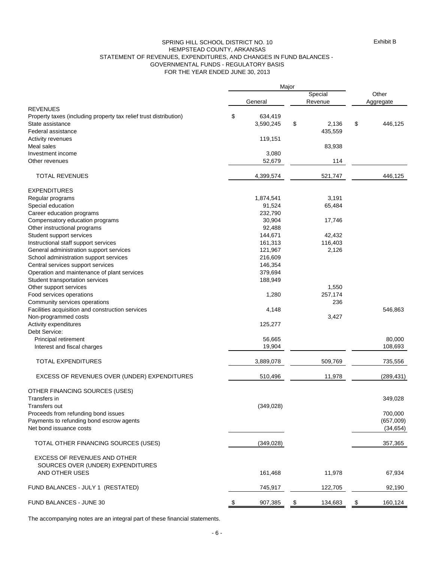#### GOVERNMENTAL FUNDS - REGULATORY BASIS FOR THE YEAR ENDED JUNE 30, 2013 SPRING HILL SCHOOL DISTRICT NO. 10 HEMPSTEAD COUNTY, ARKANSAS STATEMENT OF REVENUES, EXPENDITURES, AND CHANGES IN FUND BALANCES -

|                                                                   | Major         |    |         |    |            |
|-------------------------------------------------------------------|---------------|----|---------|----|------------|
|                                                                   |               |    | Special |    | Other      |
| <b>REVENUES</b>                                                   | General       |    | Revenue |    | Aggregate  |
| Property taxes (including property tax relief trust distribution) | \$<br>634,419 |    |         |    |            |
| State assistance                                                  | 3,590,245     | \$ | 2,136   | \$ | 446,125    |
| Federal assistance                                                |               |    | 435,559 |    |            |
| Activity revenues                                                 | 119,151       |    |         |    |            |
| Meal sales                                                        |               |    | 83,938  |    |            |
| Investment income                                                 | 3,080         |    |         |    |            |
| Other revenues                                                    | 52,679        |    | 114     |    |            |
| <b>TOTAL REVENUES</b>                                             | 4,399,574     |    | 521,747 |    | 446,125    |
| <b>EXPENDITURES</b>                                               |               |    |         |    |            |
| Regular programs                                                  | 1,874,541     |    | 3,191   |    |            |
| Special education                                                 | 91,524        |    | 65,484  |    |            |
| Career education programs                                         | 232,790       |    |         |    |            |
| Compensatory education programs                                   | 30,904        |    | 17,746  |    |            |
| Other instructional programs                                      | 92,488        |    |         |    |            |
| Student support services                                          | 144,671       |    | 42,432  |    |            |
|                                                                   |               |    | 116,403 |    |            |
| Instructional staff support services                              | 161,313       |    |         |    |            |
| General administration support services                           | 121,967       |    | 2,126   |    |            |
| School administration support services                            | 216,609       |    |         |    |            |
| Central services support services                                 | 146,354       |    |         |    |            |
| Operation and maintenance of plant services                       | 379,694       |    |         |    |            |
| Student transportation services                                   | 188,949       |    |         |    |            |
| Other support services                                            |               |    | 1,550   |    |            |
| Food services operations                                          | 1,280         |    | 257,174 |    |            |
| Community services operations                                     |               |    | 236     |    |            |
| Facilities acquisition and construction services                  | 4,148         |    |         |    | 546,863    |
| Non-programmed costs                                              |               |    | 3,427   |    |            |
| Activity expenditures                                             | 125,277       |    |         |    |            |
| Debt Service:                                                     |               |    |         |    |            |
| Principal retirement                                              | 56,665        |    |         |    | 80,000     |
| Interest and fiscal charges                                       | 19,904        |    |         |    | 108,693    |
| <b>TOTAL EXPENDITURES</b>                                         | 3,889,078     |    | 509,769 |    | 735,556    |
| EXCESS OF REVENUES OVER (UNDER) EXPENDITURES                      | 510,496       |    | 11,978  |    | (289, 431) |
|                                                                   |               |    |         |    |            |
| OTHER FINANCING SOURCES (USES)<br>Transfers in                    |               |    |         |    | 349,028    |
| Transfers out                                                     | (349, 028)    |    |         |    |            |
| Proceeds from refunding bond issues                               |               |    |         |    | 700,000    |
| Payments to refunding bond escrow agents                          |               |    |         |    | (657,009)  |
| Net bond issuance costs                                           |               |    |         |    | (34, 654)  |
| TOTAL OTHER FINANCING SOURCES (USES)                              | (349, 028)    |    |         |    | 357,365    |
| <b>EXCESS OF REVENUES AND OTHER</b>                               |               |    |         |    |            |
| SOURCES OVER (UNDER) EXPENDITURES                                 |               |    |         |    |            |
| AND OTHER USES                                                    | 161,468       |    | 11,978  |    | 67,934     |
|                                                                   |               |    |         |    |            |
| FUND BALANCES - JULY 1 (RESTATED)                                 | 745,917       |    | 122,705 |    | 92,190     |
| FUND BALANCES - JUNE 30                                           | \$<br>907,385 | \$ | 134,683 | \$ | 160,124    |

The accompanying notes are an integral part of these financial statements.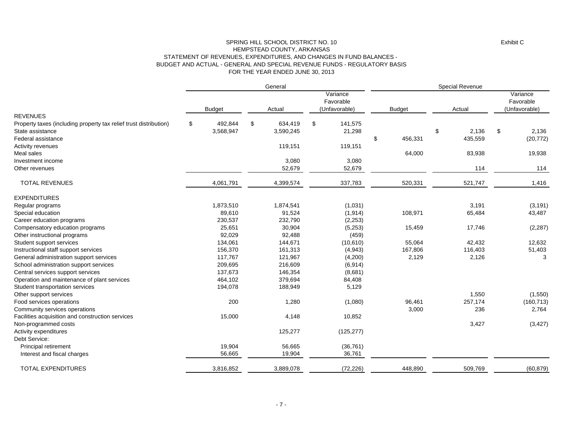#### FOR THE YEAR ENDED JUNE 30, 2013 SPRING HILL SCHOOL DISTRICT NO. 10 HEMPSTEAD COUNTY, ARKANSAS STATEMENT OF REVENUES, EXPENDITURES, AND CHANGES IN FUND BALANCES - BUDGET AND ACTUAL - GENERAL AND SPECIAL REVENUE FUNDS - REGULATORY BASIS

|                                                                   |    |                                                                                    |    | General   |                                        | Special Revenue |    |         |    |            |  |
|-------------------------------------------------------------------|----|------------------------------------------------------------------------------------|----|-----------|----------------------------------------|-----------------|----|---------|----|------------|--|
|                                                                   |    | Variance<br>Favorable<br>(Unfavorable)<br><b>Budget</b><br><b>Budget</b><br>Actual |    | Actual    | Variance<br>Favorable<br>(Unfavorable) |                 |    |         |    |            |  |
| <b>REVENUES</b>                                                   |    |                                                                                    |    |           |                                        |                 |    |         |    |            |  |
| Property taxes (including property tax relief trust distribution) | \$ | 492,844                                                                            | \$ | 634,419   | \$<br>141,575                          |                 |    |         |    |            |  |
| State assistance                                                  |    | 3,568,947                                                                          |    | 3,590,245 | 21,298                                 |                 | \$ | 2,136   | \$ | 2,136      |  |
| Federal assistance                                                |    |                                                                                    |    |           |                                        | \$<br>456,331   |    | 435,559 |    | (20, 772)  |  |
| Activity revenues                                                 |    |                                                                                    |    | 119,151   | 119,151                                |                 |    |         |    |            |  |
| Meal sales                                                        |    |                                                                                    |    |           |                                        | 64,000          |    | 83,938  |    | 19,938     |  |
| Investment income                                                 |    |                                                                                    |    | 3,080     | 3,080                                  |                 |    |         |    |            |  |
| Other revenues                                                    |    |                                                                                    |    | 52,679    | 52,679                                 |                 |    | 114     |    | 114        |  |
| <b>TOTAL REVENUES</b>                                             |    | 4,061,791                                                                          |    | 4,399,574 | 337,783                                | 520,331         |    | 521,747 |    | 1,416      |  |
| <b>EXPENDITURES</b>                                               |    |                                                                                    |    |           |                                        |                 |    |         |    |            |  |
| Regular programs                                                  |    | 1,873,510                                                                          |    | 1,874,541 | (1,031)                                |                 |    | 3,191   |    | (3, 191)   |  |
| Special education                                                 |    | 89,610                                                                             |    | 91,524    | (1, 914)                               | 108,971         |    | 65,484  |    | 43,487     |  |
| Career education programs                                         |    | 230,537                                                                            |    | 232,790   | (2, 253)                               |                 |    |         |    |            |  |
| Compensatory education programs                                   |    | 25,651                                                                             |    | 30,904    | (5,253)                                | 15,459          |    | 17,746  |    | (2, 287)   |  |
| Other instructional programs                                      |    | 92,029                                                                             |    | 92,488    | (459)                                  |                 |    |         |    |            |  |
| Student support services                                          |    | 134,061                                                                            |    | 144,671   | (10,610)                               | 55,064          |    | 42,432  |    | 12,632     |  |
| Instructional staff support services                              |    | 156,370                                                                            |    | 161,313   | (4, 943)                               | 167,806         |    | 116,403 |    | 51,403     |  |
| General administration support services                           |    | 117,767                                                                            |    | 121,967   | (4,200)                                | 2,129           |    | 2,126   |    | 3          |  |
| School administration support services                            |    | 209,695                                                                            |    | 216,609   | (6, 914)                               |                 |    |         |    |            |  |
| Central services support services                                 |    | 137.673                                                                            |    | 146,354   | (8,681)                                |                 |    |         |    |            |  |
| Operation and maintenance of plant services                       |    | 464,102                                                                            |    | 379,694   | 84,408                                 |                 |    |         |    |            |  |
| Student transportation services                                   |    | 194,078                                                                            |    | 188,949   | 5,129                                  |                 |    |         |    |            |  |
| Other support services                                            |    |                                                                                    |    |           |                                        |                 |    | 1,550   |    | (1,550)    |  |
| Food services operations                                          |    | 200                                                                                |    | 1,280     | (1,080)                                | 96,461          |    | 257,174 |    | (160, 713) |  |
| Community services operations                                     |    |                                                                                    |    |           |                                        | 3,000           |    | 236     |    | 2,764      |  |
| Facilities acquisition and construction services                  |    | 15,000                                                                             |    | 4,148     | 10,852                                 |                 |    |         |    |            |  |
| Non-programmed costs                                              |    |                                                                                    |    |           |                                        |                 |    | 3,427   |    | (3, 427)   |  |
| Activity expenditures                                             |    |                                                                                    |    | 125,277   | (125, 277)                             |                 |    |         |    |            |  |
| Debt Service:                                                     |    |                                                                                    |    |           |                                        |                 |    |         |    |            |  |
| Principal retirement                                              |    | 19,904                                                                             |    | 56,665    | (36, 761)                              |                 |    |         |    |            |  |
| Interest and fiscal charges                                       |    | 56,665                                                                             |    | 19,904    | 36,761                                 |                 |    |         |    |            |  |
| <b>TOTAL EXPENDITURES</b>                                         |    | 3,816,852                                                                          |    | 3,889,078 | (72, 226)                              | 448,890         |    | 509,769 |    | (60, 879)  |  |
|                                                                   |    |                                                                                    |    |           |                                        |                 |    |         |    |            |  |

Exhibit C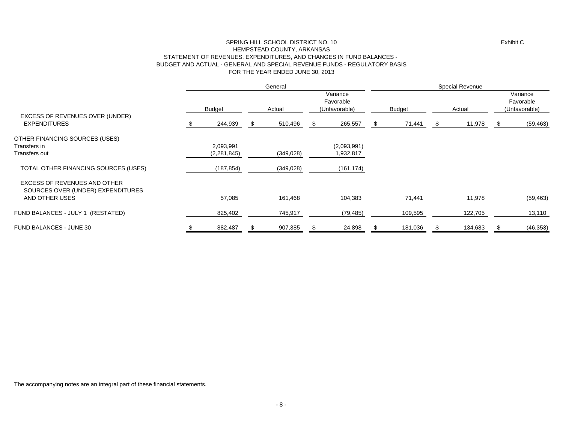#### FOR THE YEAR ENDED JUNE 30, 2013 SPRING HILL SCHOOL DISTRICT NO. 10 HEMPSTEAD COUNTY, ARKANSAS STATEMENT OF REVENUES, EXPENDITURES, AND CHANGES IN FUND BALANCES - BUDGET AND ACTUAL - GENERAL AND SPECIAL REVENUE FUNDS - REGULATORY BASIS

|                                                                                            |               | General    |    |                                        | Special Revenue |               |  |         |    |                                        |
|--------------------------------------------------------------------------------------------|---------------|------------|----|----------------------------------------|-----------------|---------------|--|---------|----|----------------------------------------|
|                                                                                            | <b>Budget</b> | Actual     |    | Variance<br>Favorable<br>(Unfavorable) |                 | <b>Budget</b> |  | Actual  |    | Variance<br>Favorable<br>(Unfavorable) |
| EXCESS OF REVENUES OVER (UNDER)<br><b>EXPENDITURES</b>                                     | 244,939       | 510,496    | Ж, | 265,557                                | £.              | 71,441        |  | 11,978  | S. | (59, 463)                              |
| OTHER FINANCING SOURCES (USES)                                                             |               |            |    |                                        |                 |               |  |         |    |                                        |
| Transfers in                                                                               | 2,093,991     |            |    | (2,093,991)                            |                 |               |  |         |    |                                        |
| Transfers out                                                                              | (2, 281, 845) | (349, 028) |    | 1,932,817                              |                 |               |  |         |    |                                        |
| TOTAL OTHER FINANCING SOURCES (USES)                                                       | (187, 854)    | (349, 028) |    | (161, 174)                             |                 |               |  |         |    |                                        |
| <b>EXCESS OF REVENUES AND OTHER</b><br>SOURCES OVER (UNDER) EXPENDITURES<br>AND OTHER USES | 57,085        | 161,468    |    | 104,383                                |                 | 71,441        |  | 11,978  |    | (59, 463)                              |
|                                                                                            |               |            |    |                                        |                 |               |  |         |    |                                        |
| FUND BALANCES - JULY 1 (RESTATED)                                                          | 825,402       | 745,917    |    | (79, 485)                              |                 | 109,595       |  | 122,705 |    | 13,110                                 |
| FUND BALANCES - JUNE 30                                                                    | 882,487       | 907,385    |    | 24,898                                 |                 | 181,036       |  | 134,683 |    | (46, 353)                              |

The accompanying notes are an integral part of these financial statements.

Exhibit C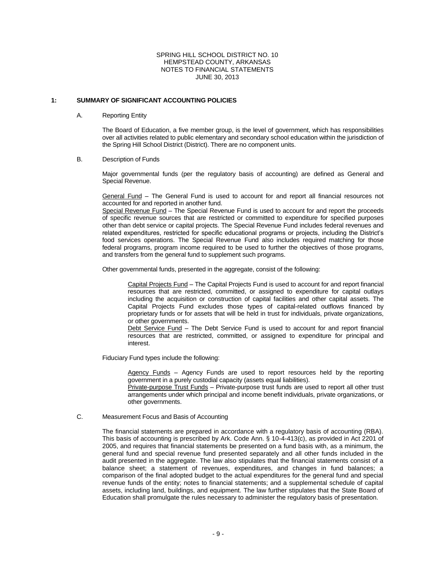#### **1: SUMMARY OF SIGNIFICANT ACCOUNTING POLICIES**

#### A. Reporting Entity

The Board of Education, a five member group, is the level of government, which has responsibilities over all activities related to public elementary and secondary school education within the jurisdiction of the Spring Hill School District (District). There are no component units.

#### B. Description of Funds

Major governmental funds (per the regulatory basis of accounting) are defined as General and Special Revenue.

General Fund – The General Fund is used to account for and report all financial resources not accounted for and reported in another fund.

Special Revenue Fund – The Special Revenue Fund is used to account for and report the proceeds of specific revenue sources that are restricted or committed to expenditure for specified purposes other than debt service or capital projects. The Special Revenue Fund includes federal revenues and related expenditures, restricted for specific educational programs or projects, including the District's food services operations. The Special Revenue Fund also includes required matching for those federal programs, program income required to be used to further the objectives of those programs, and transfers from the general fund to supplement such programs.

Other governmental funds, presented in the aggregate, consist of the following:

Capital Projects Fund – The Capital Projects Fund is used to account for and report financial resources that are restricted, committed, or assigned to expenditure for capital outlays including the acquisition or construction of capital facilities and other capital assets. The Capital Projects Fund excludes those types of capital-related outflows financed by proprietary funds or for assets that will be held in trust for individuals, private organizations, or other governments.

Debt Service Fund – The Debt Service Fund is used to account for and report financial resources that are restricted, committed, or assigned to expenditure for principal and interest.

Fiduciary Fund types include the following:

Agency Funds - Agency Funds are used to report resources held by the reporting government in a purely custodial capacity (assets equal liabilities).

Private-purpose Trust Funds - Private-purpose trust funds are used to report all other trust arrangements under which principal and income benefit individuals, private organizations, or other governments.

#### C. Measurement Focus and Basis of Accounting

The financial statements are prepared in accordance with a regulatory basis of accounting (RBA). This basis of accounting is prescribed by Ark. Code Ann. § 10-4-413(c), as provided in Act 2201 of 2005, and requires that financial statements be presented on a fund basis with, as a minimum, the general fund and special revenue fund presented separately and all other funds included in the audit presented in the aggregate. The law also stipulates that the financial statements consist of a balance sheet; a statement of revenues, expenditures, and changes in fund balances; a comparison of the final adopted budget to the actual expenditures for the general fund and special revenue funds of the entity; notes to financial statements; and a supplemental schedule of capital assets, including land, buildings, and equipment. The law further stipulates that the State Board of Education shall promulgate the rules necessary to administer the regulatory basis of presentation.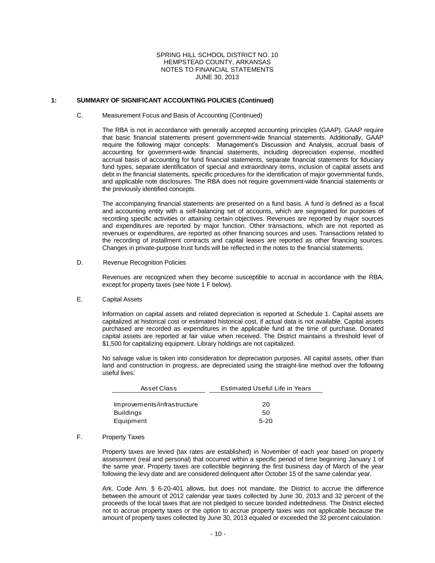#### **1: SUMMARY OF SIGNIFICANT ACCOUNTING POLICIES (Continued)**

#### C. Measurement Focus and Basis of Accounting (Continued)

The RBA is not in accordance with generally accepted accounting principles (GAAP). GAAP require that basic financial statements present government-wide financial statements. Additionally, GAAP require the following major concepts: Management's Discussion and Analysis, accrual basis of accounting for government-wide financial statements, including depreciation expense, modified accrual basis of accounting for fund financial statements, separate financial statements for fiduciary fund types, separate identification of special and extraordinary items, inclusion of capital assets and debt in the financial statements, specific procedures for the identification of major governmental funds, and applicable note disclosures. The RBA does not require government-wide financial statements or the previously identified concepts.

The accompanying financial statements are presented on a fund basis. A fund is defined as a fiscal and accounting entity with a self-balancing set of accounts, which are segregated for purposes of recording specific activities or attaining certain objectives. Revenues are reported by major sources and expenditures are reported by major function. Other transactions, which are not reported as revenues or expenditures, are reported as other financing sources and uses. Transactions related to the recording of installment contracts and capital leases are reported as other financing sources. Changes in private-purpose trust funds will be reflected in the notes to the financial statements.

D. Revenue Recognition Policies

Revenues are recognized when they become susceptible to accrual in accordance with the RBA, except for property taxes (see Note 1 F below).

#### E. Capital Assets

Information on capital assets and related depreciation is reported at Schedule 1. Capital assets are capitalized at historical cost or estimated historical cost, if actual data is not available. Capital assets purchased are recorded as expenditures in the applicable fund at the time of purchase. Donated capital assets are reported at fair value when received. The District maintains a threshold level of \$1,500 for capitalizing equipment. Library holdings are not capitalized.

No salvage value is taken into consideration for depreciation purposes. All capital assets, other than land and construction in progress, are depreciated using the straight-line method over the following useful lives:

| Asset Class                 | Estimated Useful Life in Years |  |  |  |  |  |
|-----------------------------|--------------------------------|--|--|--|--|--|
|                             |                                |  |  |  |  |  |
| Improvements/infrastructure | 20                             |  |  |  |  |  |
| <b>Buildings</b>            | 50                             |  |  |  |  |  |
| Equipment                   | $5 - 20$                       |  |  |  |  |  |

#### F. Property Taxes

Property taxes are levied (tax rates are established) in November of each year based on property assessment (real and personal) that occurred within a specific period of time beginning January 1 of the same year. Property taxes are collectible beginning the first business day of March of the year following the levy date and are considered delinquent after October 15 of the same calendar year.

Ark. Code Ann. § 6-20-401 allows, but does not mandate, the District to accrue the difference between the amount of 2012 calendar year taxes collected by June 30, 2013 and 32 percent of the proceeds of the local taxes that are not pledged to secure bonded indebtedness. The District elected not to accrue property taxes or the option to accrue property taxes was not applicable because the amount of property taxes collected by June 30, 2013 equaled or exceeded the 32 percent calculation.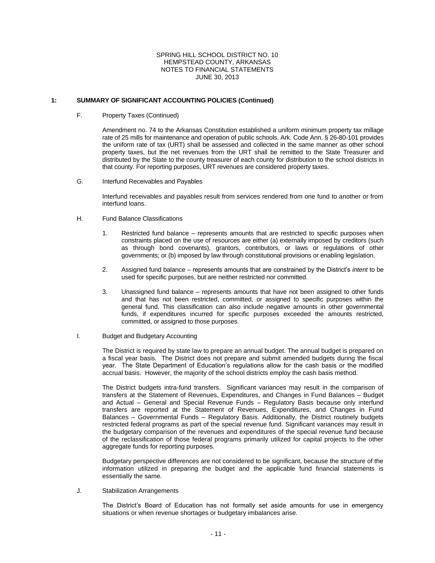#### **1: SUMMARY OF SIGNIFICANT ACCOUNTING POLICIES (Continued)**

F. Property Taxes (Continued)

Amendment no. 74 to the Arkansas Constitution established a uniform minimum property tax millage rate of 25 mills for maintenance and operation of public schools. Ark. Code Ann. § 26-80-101 provides the uniform rate of tax (URT) shall be assessed and collected in the same manner as other school property taxes, but the net revenues from the URT shall be remitted to the State Treasurer and distributed by the State to the county treasurer of each county for distribution to the school districts in that county. For reporting purposes, URT revenues are considered property taxes.

G. Interfund Receivables and Payables

Interfund receivables and payables result from services rendered from one fund to another or from interfund loans.

- H. Fund Balance Classifications
	- 1. Restricted fund balance represents amounts that are restricted to specific purposes when constraints placed on the use of resources are either (a) externally imposed by creditors (such as through bond covenants), grantors, contributors, or laws or regulations of other governments; or (b) imposed by law through constitutional provisions or enabling legislation.
	- 2. Assigned fund balance represents amounts that are constrained by the District's *intent* to be used for specific purposes, but are neither restricted nor committed.
	- 3. Unassigned fund balance represents amounts that have not been assigned to other funds and that has not been restricted, committed, or assigned to specific purposes within the general fund. This classification can also include negative amounts in other governmental funds, if expenditures incurred for specific purposes exceeded the amounts restricted, committed, or assigned to those purposes.
- I. Budget and Budgetary Accounting

The District is required by state law to prepare an annual budget. The annual budget is prepared on a fiscal year basis. The District does not prepare and submit amended budgets during the fiscal year. The State Department of Education's regulations allow for the cash basis or the modified accrual basis. However, the majority of the school districts employ the cash basis method.

The District budgets intra-fund transfers. Significant variances may result in the comparison of transfers at the Statement of Revenues, Expenditures, and Changes in Fund Balances – Budget and Actual – General and Special Revenue Funds – Regulatory Basis because only interfund transfers are reported at the Statement of Revenues, Expenditures, and Changes in Fund Balances – Governmental Funds – Regulatory Basis. Additionally, the District routinely budgets restricted federal programs as part of the special revenue fund. Significant variances may result in the budgetary comparison of the revenues and expenditures of the special revenue fund because of the reclassification of those federal programs primarily utilized for capital projects to the other aggregate funds for reporting purposes.

Budgetary perspective differences are not considered to be significant, because the structure of the information utilized in preparing the budget and the applicable fund financial statements is essentially the same.

J. Stabilization Arrangements

The District's Board of Education has not formally set aside amounts for use in emergency situations or when revenue shortages or budgetary imbalances arise.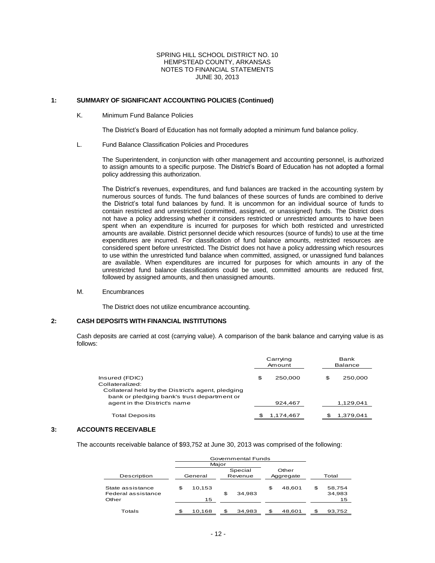#### **1: SUMMARY OF SIGNIFICANT ACCOUNTING POLICIES (Continued)**

#### K. Minimum Fund Balance Policies

The District's Board of Education has not formally adopted a minimum fund balance policy.

L. Fund Balance Classification Policies and Procedures

The Superintendent, in conjunction with other management and accounting personnel, is authorized to assign amounts to a specific purpose. The District's Board of Education has not adopted a formal policy addressing this authorization.

The District's revenues, expenditures, and fund balances are tracked in the accounting system by numerous sources of funds. The fund balances of these sources of funds are combined to derive the District's total fund balances by fund. It is uncommon for an individual source of funds to contain restricted and unrestricted (committed, assigned, or unassigned) funds. The District does not have a policy addressing whether it considers restricted or unrestricted amounts to have been spent when an expenditure is incurred for purposes for which both restricted and unrestricted amounts are available. District personnel decide which resources (source of funds) to use at the time expenditures are incurred. For classification of fund balance amounts, restricted resources are considered spent before unrestricted. The District does not have a policy addressing which resources to use within the unrestricted fund balance when committed, assigned, or unassigned fund balances are available. When expenditures are incurred for purposes for which amounts in any of the unrestricted fund balance classifications could be used, committed amounts are reduced first, followed by assigned amounts, and then unassigned amounts.

M. Encumbrances

The District does not utilize encumbrance accounting.

#### **2: CASH DEPOSITS WITH FINANCIAL INSTITUTIONS**

Cash deposits are carried at cost (carrying value). A comparison of the bank balance and carrying value is as follows:

|                                                   | Carrying<br>Amount |  |    | Bank<br><b>Balance</b> |  |  |
|---------------------------------------------------|--------------------|--|----|------------------------|--|--|
| Insured (FDIC)                                    | \$<br>250,000      |  | \$ | 250,000                |  |  |
| Collateralized:                                   |                    |  |    |                        |  |  |
| Collateral held by the District's agent, pledging |                    |  |    |                        |  |  |
| bank or pledging bank's trust department or       |                    |  |    |                        |  |  |
| agent in the District's name                      | 924,467            |  |    | 1,129,041              |  |  |
|                                                   |                    |  |    |                        |  |  |
| <b>Total Deposits</b>                             | 1,174,467          |  |    | 1,379,041              |  |  |

#### **3: ACCOUNTS RECEIVABLE**

The accounts receivable balance of \$93,752 at June 30, 2013 was comprised of the following:

|                                                 | Governmental Funds |    |           |    |        |                              |
|-------------------------------------------------|--------------------|----|-----------|----|--------|------------------------------|
|                                                 | Major              |    |           |    |        |                              |
|                                                 | Special            |    |           |    | Other  |                              |
| Description                                     | Revenue<br>General |    | Aggregate |    | Total  |                              |
| State assistance<br>Federal assistance<br>Other | \$<br>10,153<br>15 | \$ | 34.983    | \$ | 48.601 | \$<br>58,754<br>34,983<br>15 |
| Totals                                          | \$<br>10.168       | \$ | 34.983    | \$ | 48.601 | \$<br>93,752                 |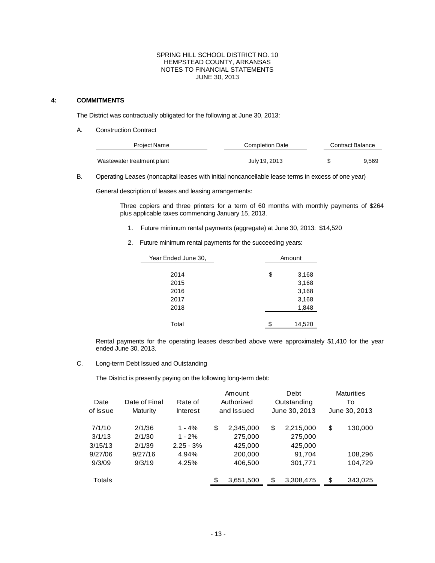#### **4: COMMITMENTS**

 $\overline{a}$ 

The District was contractually obligated for the following at June 30, 2013:

A. Construction Contract

| Project Name               | <b>Completion Date</b> | Contract Balance |       |  |  |
|----------------------------|------------------------|------------------|-------|--|--|
| Wastewater treatment plant | July 19, 2013          |                  | 9.569 |  |  |

B. Operating Leases (noncapital leases with initial noncancellable lease terms in excess of one year)

General description of leases and leasing arrangements:

Three copiers and three printers for a term of 60 months with monthly payments of \$264 plus applicable taxes commencing January 15, 2013.

- 1. Future minimum rental payments (aggregate) at June 30, 2013: \$14,520
- 2. Future minimum rental payments for the succeeding years:

| Year Ended June 30, | Amount       |  |  |  |  |  |
|---------------------|--------------|--|--|--|--|--|
|                     |              |  |  |  |  |  |
| 2014                | \$<br>3,168  |  |  |  |  |  |
| 2015                | 3,168        |  |  |  |  |  |
| 2016                | 3,168        |  |  |  |  |  |
| 2017                | 3,168        |  |  |  |  |  |
| 2018                | 1,848        |  |  |  |  |  |
|                     |              |  |  |  |  |  |
| Total               | \$<br>14,520 |  |  |  |  |  |

Rental payments for the operating leases described above were approximately \$1,410 for the year ended June 30, 2013.

C. Long-term Debt Issued and Outstanding

The District is presently paying on the following long-term debt:

|          |               |             |    | Amount     |    | Debt          |    | <b>Maturities</b> |  |    |
|----------|---------------|-------------|----|------------|----|---------------|----|-------------------|--|----|
| Date     | Date of Final | Rate of     |    | Authorized |    |               |    | Outstanding       |  | То |
| of Issue | Maturity      | Interest    |    | and Issued |    | June 30, 2013 |    | June 30, 2013     |  |    |
|          |               |             |    |            |    |               |    |                   |  |    |
| 7/1/10   | 2/1/36        | $1 - 4\%$   | \$ | 2,345,000  | \$ | 2,215,000     | \$ | 130,000           |  |    |
| 3/1/13   | 2/1/30        | $1 - 2%$    |    | 275,000    |    | 275,000       |    |                   |  |    |
| 3/15/13  | 2/1/39        | $2.25 - 3%$ |    | 425,000    |    | 425,000       |    |                   |  |    |
| 9/27/06  | 9/27/16       | 4.94%       |    | 200,000    |    | 91,704        |    | 108,296           |  |    |
| 9/3/09   | 9/3/19        | 4.25%       |    | 406,500    |    | 301,771       |    | 104,729           |  |    |
|          |               |             |    |            |    |               |    |                   |  |    |
| Totals   |               |             | \$ | 3,651,500  | \$ | 3,308,475     | \$ | 343,025           |  |    |
|          |               |             |    |            |    |               |    |                   |  |    |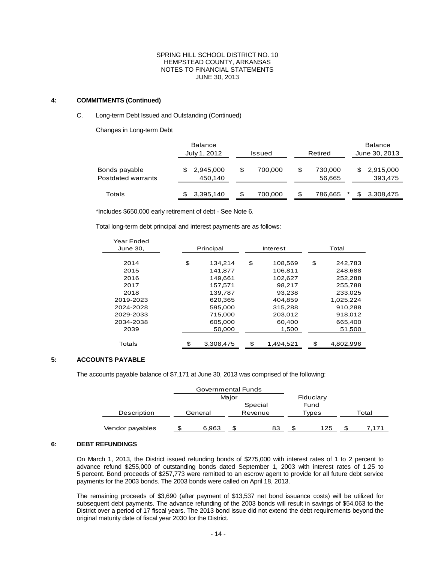#### **4: COMMITMENTS (Continued)**

#### C. Long-term Debt Issued and Outstanding (Continued)

Changes in Long-term Debt

|                                     | <b>Balance</b><br>July 1, 2012 |     | <b>Issued</b> |     | Retired           |     | <b>Balance</b><br>June 30, 2013 |  |  |
|-------------------------------------|--------------------------------|-----|---------------|-----|-------------------|-----|---------------------------------|--|--|
| Bonds payable<br>Postdated warrants | 2,945,000<br>450,140           | S   | 700.000       | S   | 730,000<br>56,665 | \$. | 2,915,000<br>393,475            |  |  |
| Totals                              | 3,395,140                      | \$. | 700.000       | \$. | 786.665           | *   | 3,308,475                       |  |  |

\*Includes \$650,000 early retirement of debt - See Note 6.

Total long-term debt principal and interest payments are as follows:

| Year Ended |                 |    |           |         |           |  |  |
|------------|-----------------|----|-----------|---------|-----------|--|--|
| June 30.   | Principal       |    | Interest  | Total   |           |  |  |
|            |                 |    |           |         |           |  |  |
| 2014       | \$<br>134.214   | \$ | 108,569   | \$      | 242.783   |  |  |
| 2015       | 141.877         |    | 106.811   |         | 248,688   |  |  |
| 2016       | 149,661         |    | 102.627   |         | 252,288   |  |  |
| 2017       | 157.571         |    | 98.217    |         | 255.788   |  |  |
| 2018       | 139,787         |    | 93,238    |         | 233,025   |  |  |
| 2019-2023  | 620,365         |    | 404.859   |         | 1,025,224 |  |  |
| 2024-2028  | 595.000         |    | 315,288   |         | 910.288   |  |  |
| 2029-2033  | 715,000         |    | 203,012   |         | 918,012   |  |  |
| 2034-2038  | 605,000         |    | 60.400    | 665,400 |           |  |  |
| 2039       | 50,000          |    | 1,500     |         | 51,500    |  |  |
|            |                 |    |           |         |           |  |  |
| Totals     | \$<br>3,308,475 | \$ | 1,494,521 | \$      | 4,802,996 |  |  |

## **5: ACCOUNTS PAYABLE**

The accounts payable balance of \$7,171 at June 30, 2013 was comprised of the following:

|                 | Governmental Funds |         |    |         |      |           |       |       |  |
|-----------------|--------------------|---------|----|---------|------|-----------|-------|-------|--|
|                 | Maior              |         |    |         |      | Fiduciary |       |       |  |
|                 | Special            |         |    |         | Fund |           |       |       |  |
| Description     |                    | General |    | Revenue |      | Types     | Total |       |  |
| Vendor payables |                    | 6.963   | £. | 83      | \$.  | 125       | Ж,    | 7.171 |  |

#### **6: DEBT REFUNDINGS**

On March 1, 2013, the District issued refunding bonds of \$275,000 with interest rates of 1 to 2 percent to advance refund \$255,000 of outstanding bonds dated September 1, 2003 with interest rates of 1.25 to 5 percent. Bond proceeds of \$257,773 were remitted to an escrow agent to provide for all future debt service payments for the 2003 bonds. The 2003 bonds were called on April 18, 2013.

The remaining proceeds of \$3,690 (after payment of \$13,537 net bond issuance costs) will be utilized for subsequent debt payments. The advance refunding of the 2003 bonds will result in savings of \$54,063 to the District over a period of 17 fiscal years. The 2013 bond issue did not extend the debt requirements beyond the original maturity date of fiscal year 2030 for the District.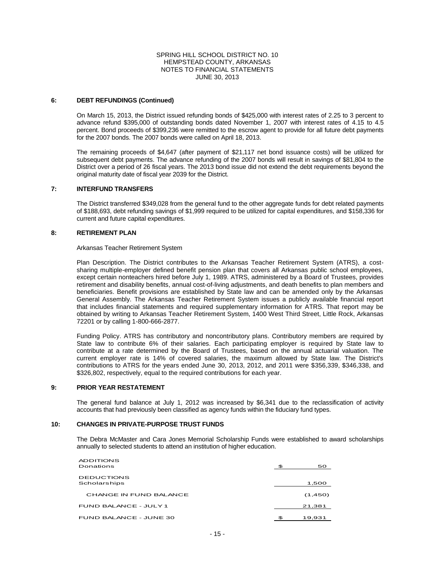#### **6: DEBT REFUNDINGS (Continued)**

On March 15, 2013, the District issued refunding bonds of \$425,000 with interest rates of 2.25 to 3 percent to advance refund \$395,000 of outstanding bonds dated November 1, 2007 with interest rates of 4.15 to 4.5 percent. Bond proceeds of \$399,236 were remitted to the escrow agent to provide for all future debt payments for the 2007 bonds. The 2007 bonds were called on April 18, 2013.

The remaining proceeds of \$4,647 (after payment of \$21,117 net bond issuance costs) will be utilized for subsequent debt payments. The advance refunding of the 2007 bonds will result in savings of \$81,804 to the District over a period of 26 fiscal years. The 2013 bond issue did not extend the debt requirements beyond the original maturity date of fiscal year 2039 for the District.

#### **7: INTERFUND TRANSFERS**

The District transferred \$349,028 from the general fund to the other aggregate funds for debt related payments of \$188,693, debt refunding savings of \$1,999 required to be utilized for capital expenditures, and \$158,336 for current and future capital expenditures.

#### **8: RETIREMENT PLAN**

Arkansas Teacher Retirement System

Plan Description. The District contributes to the Arkansas Teacher Retirement System (ATRS), a costsharing multiple-employer defined benefit pension plan that covers all Arkansas public school employees, except certain nonteachers hired before July 1, 1989. ATRS, administered by a Board of Trustees, provides retirement and disability benefits, annual cost-of-living adjustments, and death benefits to plan members and beneficiaries. Benefit provisions are established by State law and can be amended only by the Arkansas General Assembly. The Arkansas Teacher Retirement System issues a publicly available financial report that includes financial statements and required supplementary information for ATRS. That report may be obtained by writing to Arkansas Teacher Retirement System, 1400 West Third Street, Little Rock, Arkansas 72201 or by calling 1-800-666-2877.

Funding Policy. ATRS has contributory and noncontributory plans. Contributory members are required by State law to contribute 6% of their salaries. Each participating employer is required by State law to contribute at a rate determined by the Board of Trustees, based on the annual actuarial valuation. The current employer rate is 14% of covered salaries, the maximum allowed by State law. The District's contributions to ATRS for the years ended June 30, 2013, 2012, and 2011 were \$356,339, \$346,338, and \$326,802, respectively, equal to the required contributions for each year.

#### **9: PRIOR YEAR RESTATEMENT**

The general fund balance at July 1, 2012 was increased by \$6,341 due to the reclassification of activity accounts that had previously been classified as agency funds within the fiduciary fund types.

#### **10: CHANGES IN PRIVATE-PURPOSE TRUST FUNDS**

The Debra McMaster and Cara Jones Memorial Scholarship Funds were established to award scholarships annually to selected students to attend an institution of higher education.

| ADDITIONS<br>Donations            | \$<br>50     |
|-----------------------------------|--------------|
| <b>DEDUCTIONS</b><br>Scholarships | 1,500        |
| CHANGE IN FUND BALANCE            | (1,450)      |
| FUND BALANCE - JULY 1             | 21,381       |
| FUND BALANCE - JUNE 30            | \$<br>19,931 |
|                                   |              |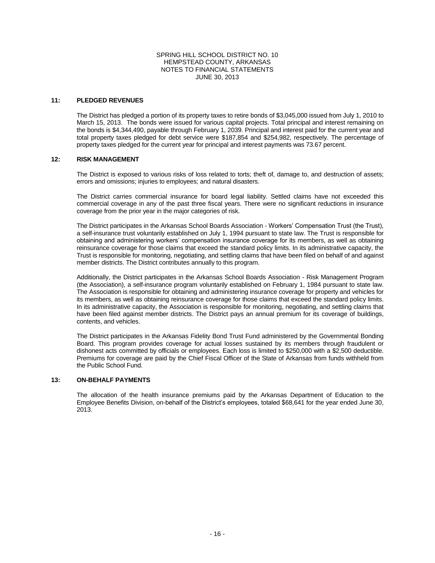#### **11: PLEDGED REVENUES**

The District has pledged a portion of its property taxes to retire bonds of \$3,045,000 issued from July 1, 2010 to March 15, 2013. The bonds were issued for various capital projects. Total principal and interest remaining on the bonds is \$4,344,490, payable through February 1, 2039. Principal and interest paid for the current year and total property taxes pledged for debt service were \$187,854 and \$254,982, respectively. The percentage of property taxes pledged for the current year for principal and interest payments was 73.67 percent.

#### **12: RISK MANAGEMENT**

The District is exposed to various risks of loss related to torts; theft of, damage to, and destruction of assets; errors and omissions; injuries to employees; and natural disasters.

The District carries commercial insurance for board legal liability. Settled claims have not exceeded this commercial coverage in any of the past three fiscal years. There were no significant reductions in insurance coverage from the prior year in the major categories of risk.

The District participates in the Arkansas School Boards Association - Workers' Compensation Trust (the Trust), a self-insurance trust voluntarily established on July 1, 1994 pursuant to state law. The Trust is responsible for obtaining and administering workers' compensation insurance coverage for its members, as well as obtaining reinsurance coverage for those claims that exceed the standard policy limits. In its administrative capacity, the Trust is responsible for monitoring, negotiating, and settling claims that have been filed on behalf of and against member districts. The District contributes annually to this program.

Additionally, the District participates in the Arkansas School Boards Association - Risk Management Program (the Association), a self-insurance program voluntarily established on February 1, 1984 pursuant to state law. The Association is responsible for obtaining and administering insurance coverage for property and vehicles for its members, as well as obtaining reinsurance coverage for those claims that exceed the standard policy limits. In its administrative capacity, the Association is responsible for monitoring, negotiating, and settling claims that have been filed against member districts. The District pays an annual premium for its coverage of buildings, contents, and vehicles.

The District participates in the Arkansas Fidelity Bond Trust Fund administered by the Governmental Bonding Board. This program provides coverage for actual losses sustained by its members through fraudulent or dishonest acts committed by officials or employees. Each loss is limited to \$250,000 with a \$2,500 deductible. Premiums for coverage are paid by the Chief Fiscal Officer of the State of Arkansas from funds withheld from the Public School Fund.

#### **13: ON-BEHALF PAYMENTS**

The allocation of the health insurance premiums paid by the Arkansas Department of Education to the Employee Benefits Division, on-behalf of the District's employees, totaled \$68,641 for the year ended June 30, 2013.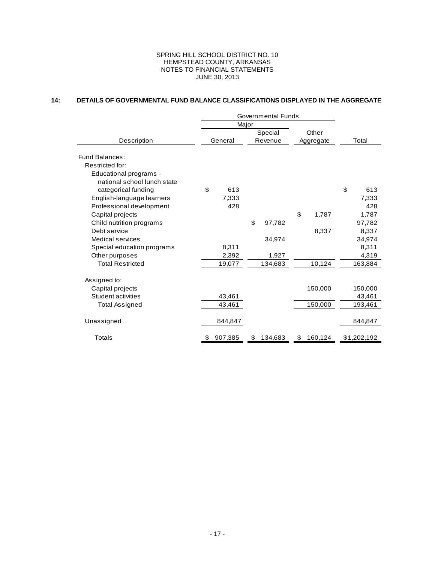#### **14: DETAILS OF GOVERNMENTAL FUND BALANCE CLASSIFICATIONS DISPLAYED IN THE AGGREGATE**

|                             | Governmental Funds |         |                    |         |                    |         |    |             |
|-----------------------------|--------------------|---------|--------------------|---------|--------------------|---------|----|-------------|
|                             | Major              |         |                    |         |                    |         |    |             |
|                             | General            |         | Special<br>Revenue |         | Other<br>Aggregate |         |    |             |
| Description                 |                    |         |                    |         |                    |         |    | Total       |
| <b>Fund Balances:</b>       |                    |         |                    |         |                    |         |    |             |
| Restricted for:             |                    |         |                    |         |                    |         |    |             |
| Educational programs -      |                    |         |                    |         |                    |         |    |             |
| national school lunch state |                    |         |                    |         |                    |         |    |             |
| categorical funding         | \$                 | 613     |                    |         |                    |         | \$ | 613         |
| English-language learners   |                    | 7,333   |                    |         |                    |         |    | 7,333       |
| Professional development    |                    | 428     |                    |         |                    |         |    | 428         |
| Capital projects            |                    |         |                    |         | \$                 | 1,787   |    | 1,787       |
| Child nutrition programs    |                    |         | \$                 | 97,782  |                    |         |    | 97,782      |
| Debt service                |                    |         |                    |         |                    | 8,337   |    | 8,337       |
| Medical services            |                    |         |                    | 34,974  |                    |         |    | 34,974      |
| Special education programs  |                    | 8,311   |                    |         |                    |         |    | 8,311       |
| Other purposes              |                    | 2,392   |                    | 1,927   |                    |         |    | 4,319       |
| <b>Total Restricted</b>     |                    | 19,077  |                    | 134,683 |                    | 10,124  |    | 163,884     |
| Assigned to:                |                    |         |                    |         |                    |         |    |             |
| Capital projects            |                    |         |                    |         |                    | 150,000 |    | 150,000     |
| Student activities          |                    | 43,461  |                    |         |                    |         |    | 43,461      |
| Total Assigned              |                    | 43,461  |                    |         |                    | 150,000 |    | 193,461     |
|                             |                    |         |                    |         |                    |         |    |             |
| Unassigned                  |                    | 844,847 |                    |         |                    |         |    | 844,847     |
| <b>Totals</b>               | \$                 | 907,385 | \$                 | 134,683 | \$                 | 160,124 |    | \$1,202,192 |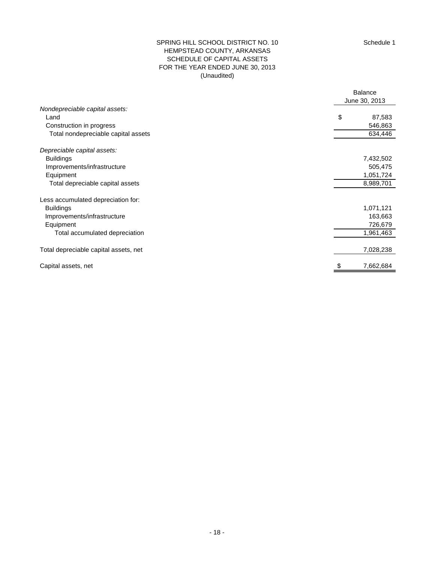### (Unaudited) SPRING HILL SCHOOL DISTRICT NO. 10 HEMPSTEAD COUNTY, ARKANSAS SCHEDULE OF CAPITAL ASSETS FOR THE YEAR ENDED JUNE 30, 2013

|                                       | <b>Balance</b> |
|---------------------------------------|----------------|
|                                       | June 30, 2013  |
| Nondepreciable capital assets:        |                |
| Land                                  | \$<br>87,583   |
| Construction in progress              | 546,863        |
| Total nondepreciable capital assets   | 634,446        |
| Depreciable capital assets:           |                |
| <b>Buildings</b>                      | 7,432,502      |
| Improvements/infrastructure           | 505,475        |
| Equipment                             | 1,051,724      |
| Total depreciable capital assets      | 8,989,701      |
| Less accumulated depreciation for:    |                |
| <b>Buildings</b>                      | 1,071,121      |
| Improvements/infrastructure           | 163,663        |
| Equipment                             | 726,679        |
| Total accumulated depreciation        | 1,961,463      |
| Total depreciable capital assets, net | 7,028,238      |
| Capital assets, net                   | 7,662,684      |
|                                       |                |